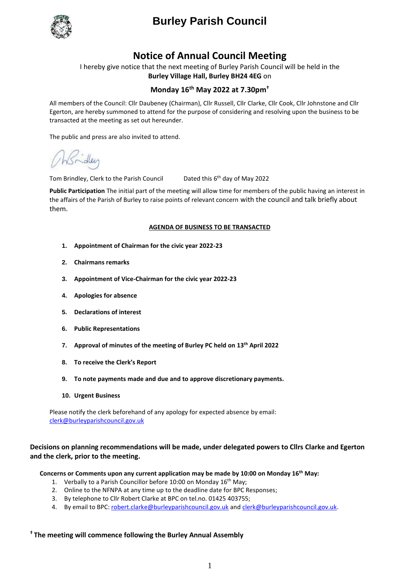

# **Burley Parish Council**

### **Notice of Annual Council Meeting**

I hereby give notice that the next meeting of Burley Parish Council will be held in the **Burley Village Hall, Burley BH24 4EG** on

#### **Monday 16 th May 2022 at 7.30pm†**

All members of the Council: Cllr Daubeney (Chairman), Cllr Russell, Cllr Clarke, Cllr Cook, Cllr Johnstone and Cllr Egerton, are hereby summoned to attend for the purpose of considering and resolving upon the business to be transacted at the meeting as set out hereunder.

The public and press are also invited to attend.

Tom Brindley, Clerk to the Parish Council Dated this 6<sup>th</sup> day of May 2022

**Public Participation** The initial part of the meeting will allow time for members of the public having an interest in the affairs of the Parish of Burley to raise points of relevant concern with the council and talk briefly about them.

#### **AGENDA OF BUSINESS TO BE TRANSACTED**

- **1. Appointment of Chairman for the civic year 2022-23**
- **2. Chairmans remarks**
- **3. Appointment of Vice-Chairman for the civic year 2022-23**
- **4. Apologies for absence**
- **5. Declarations of interest**
- **6. Public Representations**
- **7. Approval of minutes of the meeting of Burley PC held on 13th April 2022**
- **8. To receive the Clerk's Report**
- **9. To note payments made and due and to approve discretionary payments.**
- **10. Urgent Business**

Please notify the clerk beforehand of any apology for expected absence by email: [clerk@burleyparishcouncil.gov.uk](mailto:clerk@burleyparishcouncil.gov.uk) 

#### **Decisions on planning recommendations will be made, under delegated powers to Cllrs Clarke and Egerton and the clerk, prior to the meeting.**

**Concerns or Comments upon any current application may be made by 10:00 on Monday 16th May:**

- 1. Verbally to a Parish Councillor before 10:00 on Monday 16<sup>th</sup> May;
- 2. Online to the NFNPA at any time up to the deadline date for BPC Responses;
- 3. By telephone to Cllr Robert Clarke at BPC on tel.no. 01425 403755;
- 4. By email to BPC: [robert.clarke@burleyparishcouncil.gov.uk](mailto:robert.clarke@burleyparishcouncil.gov.uk) an[d clerk@burleyparishcouncil.gov.uk.](mailto:clerk@burleyparishcouncil.gov.uk)

#### **† The meeting will commence following the Burley Annual Assembly**